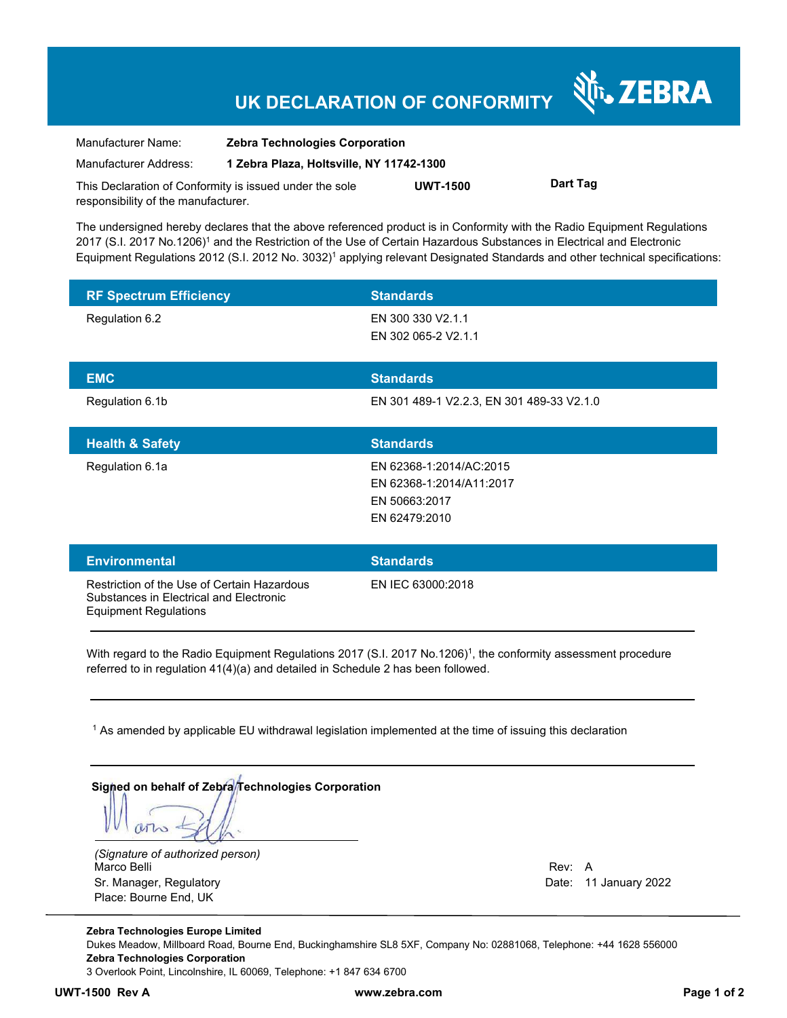## **UK DECLARATION OF CONFORMITY**

| Manufacturer Name:                                      | <b>Zebra Technologies Corporation</b>    |                 |          |
|---------------------------------------------------------|------------------------------------------|-----------------|----------|
| Manufacturer Address:                                   | 1 Zebra Plaza, Holtsville, NY 11742-1300 |                 |          |
| This Declaration of Conformity is issued under the sole |                                          | <b>UWT-1500</b> | Dart Tag |
| responsibility of the manufacturer.                     |                                          |                 |          |

The undersigned hereby declares that the above referenced product is in Conformity with the Radio Equipment Regulations 2017 (S.I. 2017 No.1206)<sup>1</sup> and the Restriction of the Use of Certain Hazardous Substances in Electrical and Electronic Equipment Regulations 2012 (S.I. 2012 No. 3032)<sup>1</sup> applying relevant Designated Standards and other technical specifications:

| <b>RF Spectrum Efficiency</b>                                                          | <b>Standards</b>                                                                      |
|----------------------------------------------------------------------------------------|---------------------------------------------------------------------------------------|
| Regulation 6.2                                                                         | EN 300 330 V2.1.1<br>EN 302 065-2 V2.1.1                                              |
| <b>EMC</b>                                                                             | <b>Standards</b>                                                                      |
| Regulation 6.1b                                                                        | EN 301 489-1 V2.2.3, EN 301 489-33 V2.1.0                                             |
| <b>Health &amp; Safety</b>                                                             | <b>Standards</b>                                                                      |
| Regulation 6.1a                                                                        | EN 62368-1:2014/AC:2015<br>EN 62368-1:2014/A11:2017<br>EN 50663:2017<br>EN 62479:2010 |
| <b>Environmental</b>                                                                   | <b>Standards</b>                                                                      |
| Restriction of the Use of Certain Hazardous<br>Substances in Electrical and Electronic | EN IEC 63000:2018                                                                     |

With regard to the Radio Equipment Regulations 2017 (S.I. 2017 No.1206)<sup>1</sup>, the conformity assessment procedure referred to in regulation 41(4)(a) and detailed in Schedule 2 has been followed.

 $^{\rm 1}$  As amended by applicable EU withdrawal legislation implemented at the time of issuing this declaration

|  |  | Signed on behalf of Zebra/Technologies Corporation |  |
|--|--|----------------------------------------------------|--|
|  |  |                                                    |  |
|  |  |                                                    |  |
|  |  |                                                    |  |
|  |  |                                                    |  |

*(Signature of authorized person)* Marco Belli Rev: A Sr. Manager, Regulatory Date: 11 January 2022 Place: Bourne End, UK

Equipment Regulations

N<sub>i</sub>, ZEBRA

**Zebra Technologies Europe Limited**  Dukes Meadow, Millboard Road, Bourne End, Buckinghamshire SL8 5XF, Company No: 02881068, Telephone: +44 1628 556000 **Zebra Technologies Corporation**  3 Overlook Point, Lincolnshire, IL 60069, Telephone: +1 847 634 6700